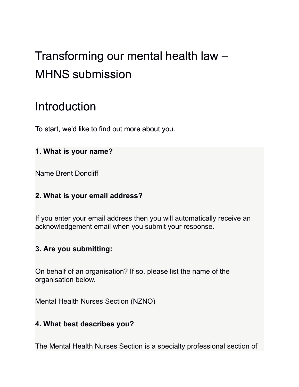# Transforming our mental health law – MHNS submission

## Introduction

To start, we'd like to find out more about you.

## **1. What is your name?**

Name Brent Doncliff

## **2. What is your email address?**

If you enter your email address then you will automatically receive an acknowledgement email when you submit your response.

## **3. Are you submitting:**

On behalf of an organisation? If so, please list the name of the organisation below.

Mental Health Nurses Section (NZNO)

## **4. What best describes you?**

The Mental Health Nurses Section is a specialty professional section of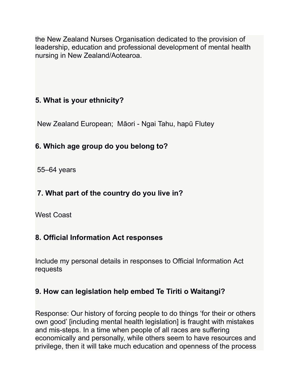the New Zealand Nurses Organisation dedicated to the provision of leadership, education and professional development of mental health nursing in New Zealand/Aotearoa.

## **5. What is your ethnicity?**

New Zealand European; Māori - Ngai Tahu, hapū Flutey

## **6. Which age group do you belong to?**

55–64 years

## **7. What part of the country do you live in?**

West Coast

## **8. Official Information Act responses**

Include my personal details in responses to Official Information Act requests

## **9. How can legislation help embed Te Tiriti o Waitangi?**

Response: Our history of forcing people to do things 'for their or others own good' [including mental health legislation] is fraught with mistakes and mis-steps. In a time when people of all races are suffering economically and personally, while others seem to have resources and privilege, then it will take much education and openness of the process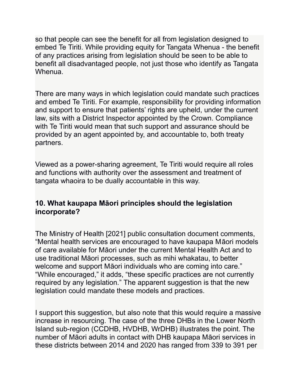so that people can see the benefit for all from legislation designed to embed Te Tiriti. While providing equity for Tangata Whenua - the benefit of any practices arising from legislation should be seen to be able to benefit all disadvantaged people, not just those who identify as Tangata Whenua.

There are many ways in which legislation could mandate such practices and embed Te Tiriti. For example, responsibility for providing information and support to ensure that patients' rights are upheld, under the current law, sits with a District Inspector appointed by the Crown. Compliance with Te Tiriti would mean that such support and assurance should be provided by an agent appointed by, and accountable to, both treaty partners.

Viewed as a power-sharing agreement, Te Tiriti would require all roles and functions with authority over the assessment and treatment of tangata whaoira to be dually accountable in this way.

## **10. What kaupapa Māori principles should the legislation incorporate?**

The Ministry of Health [2021] public consultation document comments, "Mental health services are encouraged to have kaupapa Māori models of care available for Māori under the current Mental Health Act and to use traditional Māori processes, such as mihi whakatau, to better welcome and support Māori individuals who are coming into care." "While encouraged," it adds, "these specific practices are not currently required by any legislation." The apparent suggestion is that the new legislation could mandate these models and practices.

I support this suggestion, but also note that this would require a massive increase in resourcing. The case of the three DHBs in the Lower North Island sub-region (CCDHB, HVDHB, WrDHB) illustrates the point. The number of Māori adults in contact with DHB kaupapa Māori services in these districts between 2014 and 2020 has ranged from 339 to 391 per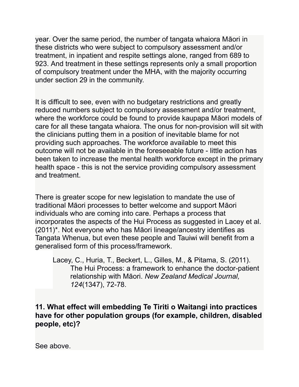year. Over the same period, the number of tangata whaiora Māori in these districts who were subject to compulsory assessment and/or treatment, in inpatient and respite settings alone, ranged from 689 to 923. And treatment in these settings represents only a small proportion of compulsory treatment under the MHA, with the majority occurring under section 29 in the community.

It is difficult to see, even with no budgetary restrictions and greatly reduced numbers subject to compulsory assessment and/or treatment, where the workforce could be found to provide kaupapa Māori models of care for all these tangata whaiora. The onus for non-provision will sit with the clinicians putting them in a position of inevitable blame for not providing such approaches. The workforce available to meet this outcome will not be available in the foreseeable future - little action has been taken to increase the mental health workforce except in the primary health space - this is not the service providing compulsory assessment and treatment.

There is greater scope for new legislation to mandate the use of traditional Māori processes to better welcome and support Māori individuals who are coming into care. Perhaps a process that incorporates the aspects of the Hui Process as suggested in Lacey et al. (2011)\*. Not everyone who has Māori lineage/ancestry identifies as Tangata Whenua, but even these people and Tauiwi will benefit from a generalised form of this process/framework.

Lacey, C., Huria, T., Beckert, L., Gilles, M., & Pitama, S. (2011). The Hui Process: a framework to enhance the doctor-patient relationship with Māori. *New Zealand Medical Journal, 124*(1347), 72-78.

**11. What effect will embedding Te Tiriti o Waitangi into practices have for other population groups (for example, children, disabled people, etc)?**

See above.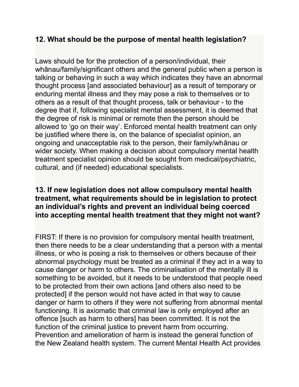## **12. What should be the purpose of mental health legislation?**

Laws should be for the protection of a person/individual, their whānau/family/significant others and the general public when a person is talking or behaving in such a way which indicates they have an abnormal thought process [and associated behaviour] as a result of temporary or enduring mental illness and they may pose a risk to themselves or to others as a result of that thought process, talk or behaviour - to the degree that if, following specialist mental assessment, it is deemed that the degree of risk is minimal or remote then the person should be allowed to 'go on their way'. Enforced mental health treatment can only be justified where there is, on the balance of specialist opinion, an ongoing and unacceptable risk to the person, their family/whānau or wider society. When making a decision about compulsory mental health treatment specialist opinion should be sought from medical/psychiatric, cultural, and (if needed) educational specialists.

#### **13. If new legislation does not allow compulsory mental health treatment, what requirements should be in legislation to protect an individual's rights and prevent an individual being coerced into accepting mental health treatment that they might not want?**

FIRST: If there is no provision for compulsory mental health treatment, then there needs to be a clear understanding that a person with a mental illness, or who is posing a risk to themselves or others because of their abnormal psychology must be treated as a criminal if they act in a way to cause danger or harm to others. The criminalisation of the mentally ill is something to be avoided, but it needs to be understood that people need to be protected from their own actions [and others also need to be protected] if the person would not have acted in that way to cause danger or harm to others if they were not suffering from abnormal mental functioning. It is axiomatic that criminal law is only employed after an offence [such as harm to others] has been committed. It is not the function of the criminal justice to prevent harm from occurring. Prevention and amelioration of harm is instead the general function of the New Zealand health system. The current Mental Health Act provides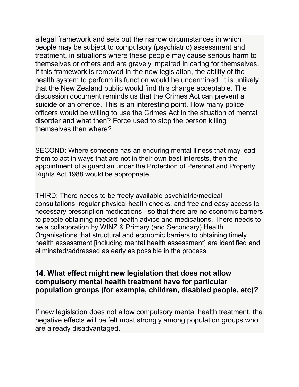a legal framework and sets out the narrow circumstances in which people may be subject to compulsory (psychiatric) assessment and treatment, in situations where these people may cause serious harm to themselves or others and are gravely impaired in caring for themselves. If this framework is removed in the new legislation, the ability of the health system to perform its function would be undermined. It is unlikely that the New Zealand public would find this change acceptable. The discussion document reminds us that the Crimes Act can prevent a suicide or an offence. This is an interesting point. How many police officers would be willing to use the Crimes Act in the situation of mental disorder and what then? Force used to stop the person killing themselves then where?

SECOND: Where someone has an enduring mental illness that may lead them to act in ways that are not in their own best interests, then the appointment of a guardian under the Protection of Personal and Property Rights Act 1988 would be appropriate.

THIRD: There needs to be freely available psychiatric/medical consultations, regular physical health checks, and free and easy access to necessary prescription medications - so that there are no economic barriers to people obtaining needed health advice and medications. There needs to be a collaboration by WINZ & Primary (and Secondary) Health Organisations that structural and economic barriers to obtaining timely health assessment [including mental health assessment] are identified and eliminated/addressed as early as possible in the process.

#### **14. What effect might new legislation that does not allow compulsory mental health treatment have for particular population groups (for example, children, disabled people, etc)?**

If new legislation does not allow compulsory mental health treatment, the negative effects will be felt most strongly among population groups who are already disadvantaged.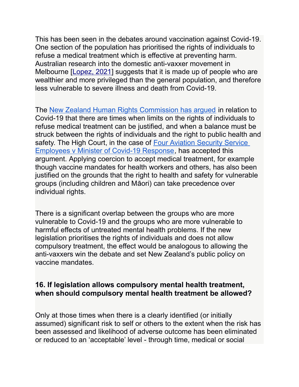This has been seen in the debates around vaccination against Covid-19. One section of the population has prioritised the rights of individuals to refuse a medical treatment which is effective at preventing harm. Australian research into the domestic anti-vaxxer movement in Melbourne [\[Lopez, 2021\]](about:blank) suggests that it is made up of people who are wealthier and more privileged than the general population, and therefore less vulnerable to severe illness and death from Covid-19.

The [New Zealand Human Rights Commission has argued](about:blank) in relation to Covid-19 that there are times when limits on the rights of individuals to refuse medical treatment can be justified, and when a balance must be struck between the rights of individuals and the right to public health and safety. The High Court, in the case of [Four Aviation Security Service](about:blank)  [Employees v Minister of Covid-19 Response,](about:blank) has accepted this argument. Applying coercion to accept medical treatment, for example though vaccine mandates for health workers and others, has also been justified on the grounds that the right to health and safety for vulnerable groups (including children and Māori) can take precedence over individual rights.

There is a significant overlap between the groups who are more vulnerable to Covid-19 and the groups who are more vulnerable to harmful effects of untreated mental health problems. If the new legislation prioritises the rights of individuals and does not allow compulsory treatment, the effect would be analogous to allowing the anti-vaxxers win the debate and set New Zealand's public policy on vaccine mandates.

#### **16. If legislation allows compulsory mental health treatment, when should compulsory mental health treatment be allowed?**

Only at those times when there is a clearly identified (or initially assumed) significant risk to self or others to the extent when the risk has been assessed and likelihood of adverse outcome has been eliminated or reduced to an 'acceptable' level - through time, medical or social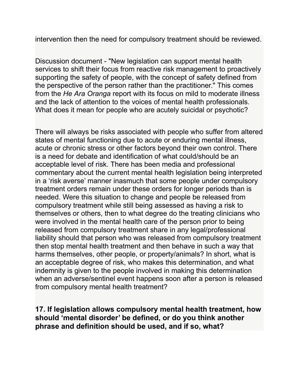intervention then the need for compulsory treatment should be reviewed.

Discussion document - "New legislation can support mental health services to shift their focus from reactive risk management to proactively supporting the safety of people, with the concept of safety defined from the perspective of the person rather than the practitioner." This comes from the *He Ara Oranga* report with its focus on mild to moderate illness and the lack of attention to the voices of mental health professionals. What does it mean for people who are acutely suicidal or psychotic?

There will always be risks associated with people who suffer from altered states of mental functioning due to acute or enduring mental illness, acute or chronic stress or other factors beyond their own control. There is a need for debate and identification of what could/should be an acceptable level of risk. There has been media and professional commentary about the current mental health legislation being interpreted in a 'risk averse' manner inasmuch that some people under compulsory treatment orders remain under these orders for longer periods than is needed. Were this situation to change and people be released from compulsory treatment while still being assessed as having a risk to themselves or others, then to what degree do the treating clinicians who were involved in the mental health care of the person prior to being released from compulsory treatment share in any legal/professional liability should that person who was released from compulsory treatment then stop mental health treatment and then behave in such a way that harms themselves, other people, or property/animals? In short, what is an acceptable degree of risk, who makes this determination, and what indemnity is given to the people involved in making this determination when an adverse/sentinel event happens soon after a person is released from compulsory mental health treatment?

**17. If legislation allows compulsory mental health treatment, how should 'mental disorder' be defined, or do you think another phrase and definition should be used, and if so, what?**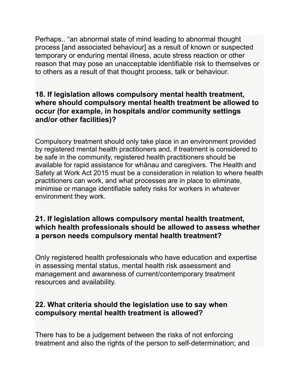Perhaps.. "an abnormal state of mind leading to abnormal thought process [and associated behaviour] as a result of known or suspected temporary or enduring mental illness, acute stress reaction or other reason that may pose an unacceptable identifiable risk to themselves or to others as a result of that thought process, talk or behaviour.

## **18. If legislation allows compulsory mental health treatment, where should compulsory mental health treatment be allowed to occur (for example, in hospitals and/or community settings and/or other facilities)?**

Compulsory treatment should only take place in an environment provided by registered mental health practitioners and, if treatment is considered to be safe in the community, registered health practitioners should be available for rapid assistance for whānau and caregivers. The Health and Safety at Work Act 2015 must be a consideration in relation to where health practitioners can work, and what processes are in place to eliminate, minimise or manage identifiable safety risks for workers in whatever environment they work.

## **21. If legislation allows compulsory mental health treatment, which health professionals should be allowed to assess whether a person needs compulsory mental health treatment?**

Only registered health professionals who have education and expertise in assessing mental status, mental health risk assessment and management and awareness of current/contemporary treatment resources and availability.

## **22. What criteria should the legislation use to say when compulsory mental health treatment is allowed?**

There has to be a judgement between the risks of not enforcing treatment and also the rights of the person to self-determination; and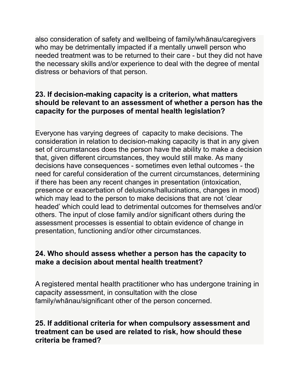also consideration of safety and wellbeing of family/whānau/caregivers who may be detrimentally impacted if a mentally unwell person who needed treatment was to be returned to their care - but they did not have the necessary skills and/or experience to deal with the degree of mental distress or behaviors of that person.

#### **23. If decision-making capacity is a criterion, what matters should be relevant to an assessment of whether a person has the capacity for the purposes of mental health legislation?**

Everyone has varying degrees of capacity to make decisions. The consideration in relation to decision-making capacity is that in any given set of circumstances does the person have the ability to make a decision that, given different circumstances, they would still make. As many decisions have consequences - sometimes even lethal outcomes - the need for careful consideration of the current circumstances, determining if there has been any recent changes in presentation (intoxication, presence or exacerbation of delusions/hallucinations, changes in mood) which may lead to the person to make decisions that are not 'clear headed' which could lead to detrimental outcomes for themselves and/or others. The input of close family and/or significant others during the assessment processes is essential to obtain evidence of change in presentation, functioning and/or other circumstances.

## **24. Who should assess whether a person has the capacity to make a decision about mental health treatment?**

A registered mental health practitioner who has undergone training in capacity assessment, in consultation with the close family/whānau/significant other of the person concerned.

#### **25. If additional criteria for when compulsory assessment and treatment can be used are related to risk, how should these criteria be framed?**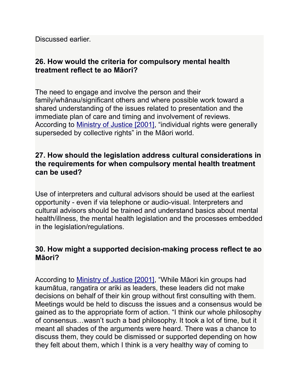Discussed earlier.

## **26. How would the criteria for compulsory mental health treatment reflect te ao Māori?**

The need to engage and involve the person and their family/whānau/significant others and where possible work toward a shared understanding of the issues related to presentation and the immediate plan of care and timing and involvement of reviews. According to [Ministry of Justice \[2001\],](about:blank) "individual rights were generally superseded by collective rights" in the Māori world.

## **27. How should the legislation address cultural considerations in the requirements for when compulsory mental health treatment can be used?**

Use of interpreters and cultural advisors should be used at the earliest opportunity - even if via telephone or audio-visual. Interpreters and cultural advisors should be trained and understand basics about mental health/illness, the mental health legislation and the processes embedded in the legislation/regulations.

## **30. How might a supported decision-making process reflect te ao Māori?**

According to [Ministry of Justice \[2001\],](about:blank) "While Māori kin groups had kaumātua, rangatira or ariki as leaders, these leaders did not make decisions on behalf of their kin group without first consulting with them. Meetings would be held to discuss the issues and a consensus would be gained as to the appropriate form of action. "I think our whole philosophy of consensus…wasn't such a bad philosophy. It took a lot of time, but it meant all shades of the arguments were heard. There was a chance to discuss them, they could be dismissed or supported depending on how they felt about them, which I think is a very healthy way of coming to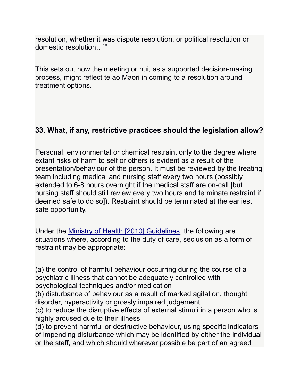resolution, whether it was dispute resolution, or political resolution or domestic resolution…'"

This sets out how the meeting or hui, as a supported decision-making process, might reflect te ao Mäori in coming to a resolution around treatment options.

## **33. What, if any, restrictive practices should the legislation allow?**

Personal, environmental or chemical restraint only to the degree where extant risks of harm to self or others is evident as a result of the presentation/behaviour of the person. It must be reviewed by the treating team including medical and nursing staff every two hours (possibly extended to 6-8 hours overnight if the medical staff are on-call [but nursing staff should still review every two hours and terminate restraint if deemed safe to do so]). Restraint should be terminated at the earliest safe opportunity.

Under the [Ministry of Health \[2010\] Guidelines,](https://www.health.govt.nz/system/files/documents/publications/seclusion-guidelines-feb10.pdf) the following are situations where, according to the duty of care, seclusion as a form of restraint may be appropriate:

(a) the control of harmful behaviour occurring during the course of a psychiatric illness that cannot be adequately controlled with psychological techniques and/or medication

(b) disturbance of behaviour as a result of marked agitation, thought disorder, hyperactivity or grossly impaired judgement

(c) to reduce the disruptive effects of external stimuli in a person who is highly aroused due to their illness

(d) to prevent harmful or destructive behaviour, using specific indicators of impending disturbance which may be identified by either the individual or the staff, and which should wherever possible be part of an agreed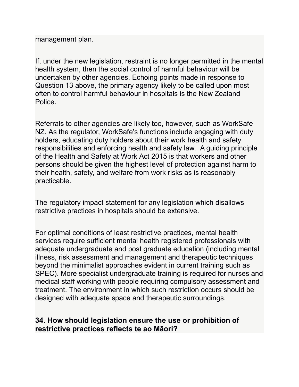management plan.

If, under the new legislation, restraint is no longer permitted in the mental health system, then the social control of harmful behaviour will be undertaken by other agencies. Echoing points made in response to Question 13 above, the primary agency likely to be called upon most often to control harmful behaviour in hospitals is the New Zealand Police.

Referrals to other agencies are likely too, however, such as WorkSafe NZ. As the regulator, WorkSafe's functions include engaging with duty holders, educating duty holders about their work health and safety responsibilities and enforcing health and safety law. A guiding principle of the Health and Safety at Work Act 2015 is that workers and other persons should be given the highest level of protection against harm to their health, safety, and welfare from work risks as is reasonably practicable.

The regulatory impact statement for any legislation which disallows restrictive practices in hospitals should be extensive.

For optimal conditions of least restrictive practices, mental health services require sufficient mental health registered professionals with adequate undergraduate and post graduate education (including mental illness, risk assessment and management and therapeutic techniques beyond the minimalist approaches evident in current training such as SPEC). More specialist undergraduate training is required for nurses and medical staff working with people requiring compulsory assessment and treatment. The environment in which such restriction occurs should be designed with adequate space and therapeutic surroundings.

## **34. How should legislation ensure the use or prohibition of restrictive practices reflects te ao Māori?**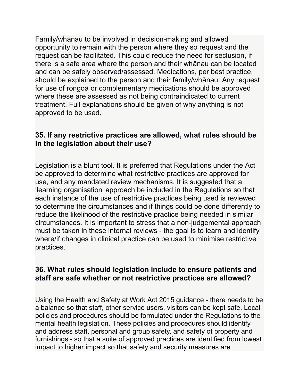Family/whānau to be involved in decision-making and allowed opportunity to remain with the person where they so request and the request can be facilitated. This could reduce the need for seclusion, if there is a safe area where the person and their whānau can be located and can be safely observed/assessed. Medications, per best practice, should be explained to the person and their family/whānau. Any request for use of rongoā or complementary medications should be approved where these are assessed as not being contraindicated to current treatment. Full explanations should be given of why anything is not approved to be used.

## **35. If any restrictive practices are allowed, what rules should be in the legislation about their use?**

Legislation is a blunt tool. It is preferred that Regulations under the Act be approved to determine what restrictive practices are approved for use, and any mandated review mechanisms. It is suggested that a 'learning organisation' approach be included in the Regulations so that each instance of the use of restrictive practices being used is reviewed to determine the circumstances and if things could be done differently to reduce the likelihood of the restrictive practice being needed in similar circumstances. It is important to stress that a non-judgemental approach must be taken in these internal reviews - the goal is to learn and identify where/if changes in clinical practice can be used to minimise restrictive practices.

#### **36. What rules should legislation include to ensure patients and staff are safe whether or not restrictive practices are allowed?**

Using the Health and Safety at Work Act 2015 guidance - there needs to be a balance so that staff, other service users, visitors can be kept safe. Local policies and procedures should be formulated under the Regulations to the mental health legislation. These policies and procedures should identify and address staff, personal and group safety, and safety of property and furnishings - so that a suite of approved practices are identified from lowest impact to higher impact so that safety and security measures are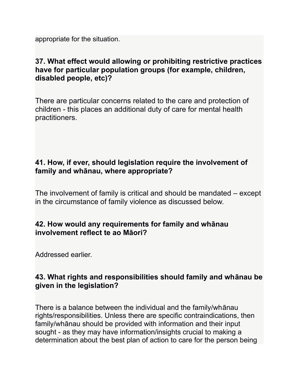appropriate for the situation.

## **37. What effect would allowing or prohibiting restrictive practices have for particular population groups (for example, children, disabled people, etc)?**

There are particular concerns related to the care and protection of children - this places an additional duty of care for mental health practitioners.

## **41. How, if ever, should legislation require the involvement of family and whānau, where appropriate?**

The involvement of family is critical and should be mandated – except in the circumstance of family violence as discussed below.

## **42. How would any requirements for family and whānau involvement reflect te ao Māori?**

Addressed earlier.

## **43. What rights and responsibilities should family and whānau be given in the legislation?**

There is a balance between the individual and the family/whānau rights/responsibilities. Unless there are specific contraindications, then family/whānau should be provided with information and their input sought - as they may have information/insights crucial to making a determination about the best plan of action to care for the person being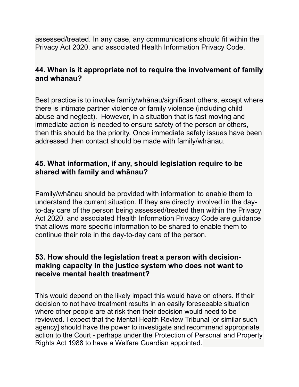assessed/treated. In any case, any communications should fit within the Privacy Act 2020, and associated Health Information Privacy Code.

#### **44. When is it appropriate not to require the involvement of family and whānau?**

Best practice is to involve family/whānau/significant others, except where there is intimate partner violence or family violence (including child abuse and neglect). However, in a situation that is fast moving and immediate action is needed to ensure safety of the person or others, then this should be the priority. Once immediate safety issues have been addressed then contact should be made with family/whānau.

#### **45. What information, if any, should legislation require to be shared with family and whānau?**

Family/whānau should be provided with information to enable them to understand the current situation. If they are directly involved in the dayto-day care of the person being assessed/treated then within the Privacy Act 2020, and associated Health Information Privacy Code are guidance that allows more specific information to be shared to enable them to continue their role in the day-to-day care of the person.

## **53. How should the legislation treat a person with decisionmaking capacity in the justice system who does not want to receive mental health treatment?**

This would depend on the likely impact this would have on others. If their decision to not have treatment results in an easily foreseeable situation where other people are at risk then their decision would need to be reviewed. I expect that the Mental Health Review Tribunal [or similar such agency] should have the power to investigate and recommend appropriate action to the Court - perhaps under the Protection of Personal and Property Rights Act 1988 to have a Welfare Guardian appointed.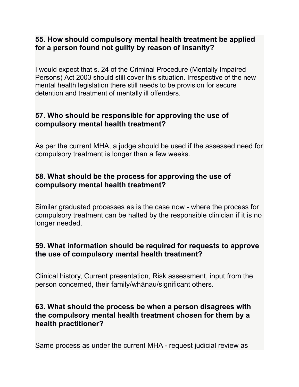## **55. How should compulsory mental health treatment be applied for a person found not guilty by reason of insanity?**

I would expect that s. 24 of the Criminal Procedure (Mentally Impaired Persons) Act 2003 should still cover this situation. Irrespective of the new mental health legislation there still needs to be provision for secure detention and treatment of mentally ill offenders.

## **57. Who should be responsible for approving the use of compulsory mental health treatment?**

As per the current MHA, a judge should be used if the assessed need for compulsory treatment is longer than a few weeks.

## **58. What should be the process for approving the use of compulsory mental health treatment?**

Similar graduated processes as is the case now - where the process for compulsory treatment can be halted by the responsible clinician if it is no longer needed.

## **59. What information should be required for requests to approve the use of compulsory mental health treatment?**

Clinical history, Current presentation, Risk assessment, input from the person concerned, their family/whānau/significant others.

#### **63. What should the process be when a person disagrees with the compulsory mental health treatment chosen for them by a health practitioner?**

Same process as under the current MHA - request judicial review as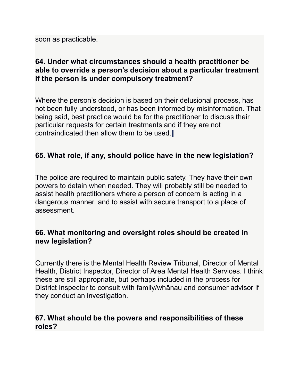soon as practicable.

## **64. Under what circumstances should a health practitioner be able to override a person's decision about a particular treatment if the person is under compulsory treatment?**

Where the person's decision is based on their delusional process, has not been fully understood, or has been informed by misinformation. That being said, best practice would be for the practitioner to discuss their particular requests for certain treatments and if they are not contraindicated then allow them to be used.

## **65. What role, if any, should police have in the new legislation?**

The police are required to maintain public safety. They have their own powers to detain when needed. They will probably still be needed to assist health practitioners where a person of concern is acting in a dangerous manner, and to assist with secure transport to a place of assessment.

#### **66. What monitoring and oversight roles should be created in new legislation?**

Currently there is the Mental Health Review Tribunal, Director of Mental Health, District Inspector, Director of Area Mental Health Services. I think these are still appropriate, but perhaps included in the process for District Inspector to consult with family/whānau and consumer advisor if they conduct an investigation.

#### **67. What should be the powers and responsibilities of these roles?**